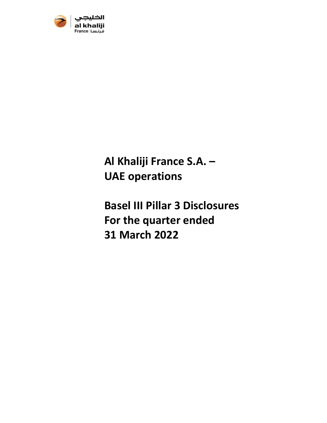

**Al Khaliji France S.A. – UAE operations** 

**Basel III Pillar 3 Disclosures For the quarter ended 31 March 2022**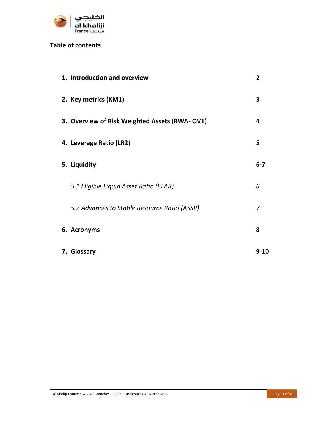

# **Table of contents**

| 1. Introduction and overview                  | $\overline{2}$ |
|-----------------------------------------------|----------------|
| 2. Key metrics (KM1)                          | 3              |
| 3. Overview of Risk Weighted Assets (RWA-OV1) | 4              |
| 4. Leverage Ratio (LR2)                       | 5              |
| 5. Liquidity                                  | $6-7$          |
| 5.1 Eligible Liquid Asset Ratio (ELAR)        | 6              |
| 5.2 Advances to Stable Resource Ratio (ASSR)  | $\overline{z}$ |
| 6. Acronyms                                   | 8              |
| 7. Glossary                                   | $9 - 10$       |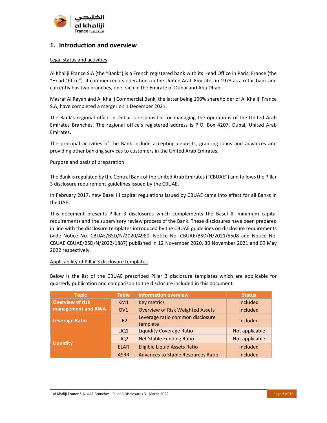

### **1. Introduction and overview**

#### Legal status and activities

Al Khaliji France S.A (the "Bank") is a French registered bank with its Head Office in Paris, France (the "Head Office"). It commenced its operations in the United Arab Emirates in 1973 as a retail bank and currently has two branches, one each in the Emirate of Dubai and Abu Dhabi.

Masraf Al Rayan and Al Khalij Commercial Bank, the latter being 100% shareholder of Al Khaliji France S.A, have completed a merger on 1 December 2021.

The Bank's regional office in Dubai is responsible for managing the operations of the United Arab Emirates Branches. The regional office's registered address is P.O. Box 4207, Dubai, United Arab Emirates.

The principal activities of the Bank include accepting deposits, granting loans and advances and providing other banking services to customers in the United Arab Emirates.

#### Purpose and basis of preparation

The Bank is regulated by the Central Bank of the United Arab Emirates ("CBUAE") and follows the Pillar 3 disclosure requirement guidelines issued by the CBUAE.

In February 2017, new Basel III capital regulations issued by CBUAE came into effect for all Banks in the UAE.

This document presents Pillar 3 disclosures which complements the Basel III minimum capital requirements and the supervisory review process of the Bank. These disclosures have been prepared in line with the disclosure templates introduced by the CBUAE guidelines on disclosure requirements (vide Notice No. CBUAE/BSD/N/2020/4980, Notice No. CBUAE/BSD/N/2021/5508 and Notice No. CBUAE CBUAE/BSD/N/2022/1887) published in 12 November 2020, 30 November 2021 and 09 May 2022 respectively.

#### Applicability of Pillar 3 disclosure templates

Below is the list of the CBUAE prescribed Pillar 3 disclosure templates which are applicable for quarterly publication and comparison to the disclosure included in this document.

| <b>Topic</b>            | <b>Table</b>     | <b>Information overview</b>                  | <b>Status</b>   |
|-------------------------|------------------|----------------------------------------------|-----------------|
| <b>Overview of risk</b> | KM <sub>1</sub>  | <b>Key metrics</b>                           | Included        |
| management and RWA      | OV <sub>1</sub>  | <b>Overview of Risk Weighted Assets</b>      | <b>Included</b> |
| <b>Leverage Ratio</b>   | LR <sub>2</sub>  | Leverage ratio common disclosure<br>template | Included        |
|                         | LIQ1             | <b>Liquidity Coverage Ratio</b>              | Not applicable  |
|                         | LIQ <sub>2</sub> | <b>Net Stable Funding Ratio</b>              | Not applicable  |
| <b>Liquidity</b>        | <b>ELAR</b>      | <b>Eligible Liquid Assets Ratio</b>          | <b>Included</b> |
|                         | <b>ASRR</b>      | <b>Advances to Stable Resources Ratio</b>    | <b>Included</b> |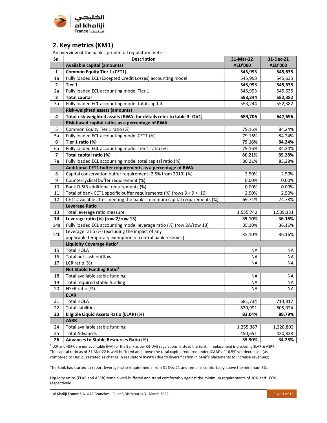

### **2. Key metrics (KM1)**

An overview of the bank's prudential regulatory metrics.

| Sn.                     | <b>Description</b>                                                       | 31-Mar-22      | 31-Dec-21      |
|-------------------------|--------------------------------------------------------------------------|----------------|----------------|
|                         | <b>Available capital (amounts)</b>                                       | <b>AED'000</b> | <b>AED'000</b> |
| 1                       | <b>Common Equity Tier 1 (CET1)</b>                                       | 545,993        | 545,635        |
| 1a                      | Fully loaded ECL (Excepted Credit Losses) accounting model               | 545,993        | 545,635        |
| 2                       | Tier 1                                                                   | 545,993        | 545,635        |
| 2a                      | Fully loaded ECL accounting model Tier 1                                 | 545,993        | 545,635        |
| 3                       | <b>Total capital</b>                                                     | 553,244        | 552,382        |
| За                      | Fully loaded ECL accounting model total capital                          | 553,244        | 552,382        |
|                         | <b>Risk-weighted assets (amounts)</b>                                    |                |                |
| 4                       | Total risk-weighted assets (RWA- for details refer to table 3- OV1)      | 689,706        | 647,696        |
|                         | Risk-based capital ratios as a percentage of RWA                         |                |                |
| 5                       | Common Equity Tier 1 ratio (%)                                           | 79.16%         | 84.24%         |
| 5a                      | Fully loaded ECL accounting model CET1 (%)                               | 79.16%         | 84.24%         |
| 6                       | Tier 1 ratio (%)                                                         | 79.16%         | 84.24%         |
| 6a                      | Fully loaded ECL accounting model Tier 1 ratio (%)                       | 79.16%         | 84.24%         |
| $\overline{\mathbf{z}}$ | Total capital ratio (%)                                                  | 80.21%         | 85.28%         |
| 7a                      | Fully loaded ECL accounting model total capital ratio (%)                | 80.21%         | 85.28%         |
|                         | Additional CET1 buffer requirements as a percentage of RWA               |                |                |
| 8                       | Capital conservation buffer requirement (2.5% from 2019) (%)             | 2.50%          | 2.50%          |
| 9                       | Countercyclical buffer requirement (%)                                   | 0.00%          | 0.00%          |
| 10                      | Bank D-SIB additional requirements (%)                                   | 0.00%          | 0.00%          |
| 11                      | Total of bank CET1 specific buffer requirements (%) (rows $8 + 9 + 10$ ) | 2.50%          | 2.50%          |
| 12                      | CET1 available after meeting the bank's minimum capital requirements (%) | 69.71%         | 74.78%         |
|                         | <b>Leverage Ratio</b>                                                    |                |                |
| 13                      | Total leverage ratio measure                                             | 1,555,742      | 1,509,131      |
| 14                      | Leverage ratio (%) (row 2/row 13)                                        | 35.10%         | 36.16%         |
| 14a                     | Fully loaded ECL accounting model leverage ratio (%) (row 2A/row 13)     | 35.10%         | 36.16%         |
| 14 <sub>b</sub>         | Leverage ratio (%) (excluding the impact of any                          | 35.10%         | 36.16%         |
|                         | applicable temporary exemption of central bank reserves)                 |                |                |
|                         | Liquidity Coverage Ratio <sup>1</sup>                                    |                |                |
| 15                      | <b>Total HQLA</b>                                                        | ΝA             | ΝA             |
| 16                      | Total net cash outflow                                                   | <b>NA</b>      | ΝA             |
| 17                      | LCR ratio (%)                                                            | <b>NA</b>      | ΝA             |
|                         | Net Stable Funding Ratio <sup>1</sup>                                    |                |                |
| 18                      | Total available stable funding                                           | <b>NA</b>      | ΝA             |
| 19                      | Total required stable funding                                            | <b>NA</b>      | <b>NA</b>      |
| 20                      | NSFR ratio (%)                                                           | <b>NA</b>      | <b>NA</b>      |
|                         | <b>ELAR</b>                                                              |                |                |
| 21                      | <b>Total HQLA</b>                                                        | 681,734        | 714,817        |
| 22                      | <b>Total liabilities</b>                                                 | 820,991        | 805,024        |
| 23                      | Eligible Liquid Assets Ratio (ELAR) (%)                                  | 83.04%         | 88.79%         |
|                         | <b>ASRR</b>                                                              |                |                |
| 24                      | Total available stable funding                                           | 1,255,367      | 1,228,802      |
| 25                      | <b>Total Advances</b>                                                    | 450,651        | 420,838        |
| 26                      | <b>Advances to Stable Resources Ratio (%)</b>                            | 35.90%         | 34.25%         |

 $1$  LCR and NSFR are not applicable (NA) for the Bank as per CB UAE regulations, instead the Bank in replacement is disclosing ELAR & ASRR; The capital ratio as of 31 Mar 22 is well-buffered and above the total capital required under ICAAP of 16.5% yet decreased (as compared to Dec 21 restated as change in regulatory RWA%) due to diversification in bank's placements to increase revenues;

The Bank has started to report leverage ratio requirements from 31 Dec 21 and remains comfortably above the minimum 3%;

Liquidity ratios (ELAR and ASRR) remain well-buffered and trend comfortably against the minimum requirements of 10% and 100% respectively.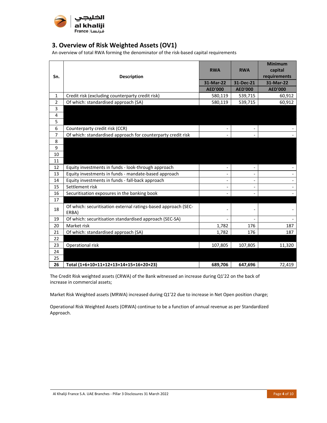

## **3. Overview of Risk Weighted Assets (OV1)**

An overview of total RWA forming the denominator of the risk‐based capital requirements

| Sn.            | <b>Description</b>                                                      | <b>RWA</b>     | <b>RWA</b>     | <b>Minimum</b><br>capital<br>requirements |
|----------------|-------------------------------------------------------------------------|----------------|----------------|-------------------------------------------|
|                |                                                                         | 31-Mar-22      | 31-Dec-21      | 31-Mar-22                                 |
|                |                                                                         | <b>AED'000</b> | <b>AED'000</b> | <b>AED'000</b>                            |
| 1              | Credit risk (excluding counterparty credit risk)                        | 580,119        | 539,715        | 60,912                                    |
| $\overline{2}$ | Of which: standardised approach (SA)                                    | 580,119        | 539,715        | 60,912                                    |
| 3              |                                                                         |                |                |                                           |
| 4              |                                                                         |                |                |                                           |
| 5              |                                                                         |                |                |                                           |
| 6              | Counterparty credit risk (CCR)                                          |                |                |                                           |
| $\overline{7}$ | Of which: standardised approach for counterparty credit risk            |                |                |                                           |
| 8              |                                                                         |                |                |                                           |
| 9              |                                                                         |                |                |                                           |
| 10             |                                                                         |                |                |                                           |
| 11             |                                                                         |                |                |                                           |
| 12             | Equity investments in funds - look-through approach                     |                |                |                                           |
| 13             | Equity investments in funds - mandate-based approach                    |                |                |                                           |
| 14             | Equity investments in funds - fall-back approach                        |                |                |                                           |
| 15             | Settlement risk                                                         |                |                |                                           |
| 16             | Securitisation exposures in the banking book                            |                |                |                                           |
| 17             |                                                                         |                |                |                                           |
| 18             | Of which: securitisation external ratings-based approach (SEC-<br>ERBA) |                |                |                                           |
| 19             | Of which: securitisation standardised approach (SEC-SA)                 |                |                |                                           |
| 20             | Market risk                                                             | 1,782          | 176            | 187                                       |
| 21             | Of which: standardised approach (SA)                                    | 1,782          | 176            | 187                                       |
| 22             |                                                                         |                |                |                                           |
| 23             | Operational risk                                                        | 107,805        | 107,805        | 11,320                                    |
| 24             |                                                                         |                |                |                                           |
| 25             |                                                                         |                |                |                                           |
| 26             | Total (1+6+10+11+12+13+14+15+16+20+23)                                  | 689.706        | 647,696        | 72,419                                    |

The Credit Risk weighted assets (CRWA) of the Bank witnessed an increase during Q1'22 on the back of increase in commercial assets;

Market Risk Weighted assets (MRWA) increased during Q1'22 due to increase in Net Open position charge;

Operational Risk Weighted Assets (ORWA) continue to be a function of annual revenue as per Standardized Approach.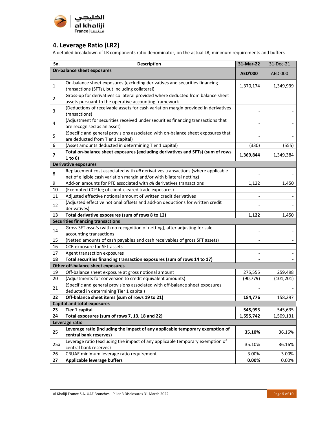

## **4. Leverage Ratio (LR2)**

A detailed breakdown of LR components ratio denominator, on the actual LR, minimum requirements and buffers

| Sn.                     | <b>Description</b>                                                                                                                                      | 31-Mar-22      | 31-Dec-21  |
|-------------------------|---------------------------------------------------------------------------------------------------------------------------------------------------------|----------------|------------|
|                         | <b>On-balance sheet exposures</b>                                                                                                                       | <b>AED'000</b> | AED'000    |
| $\mathbf{1}$            | On-balance sheet exposures (excluding derivatives and securities financing<br>transactions (SFTs), but including collateral)                            | 1,370,174      | 1,349,939  |
| $\overline{2}$          | Gross-up for derivatives collateral provided where deducted from balance sheet<br>assets pursuant to the operative accounting framework                 |                |            |
| 3                       | (Deductions of receivable assets for cash variation margin provided in derivatives<br>transactions)                                                     |                |            |
| 4                       | (Adjustment for securities received under securities financing transactions that<br>are recognised as an asset)                                         |                |            |
| 5                       | (Specific and general provisions associated with on-balance sheet exposures that<br>are deducted from Tier 1 capital)                                   |                |            |
| 6                       | (Asset amounts deducted in determining Tier 1 capital)                                                                                                  | (330)          | (555)      |
| $\overline{\mathbf{z}}$ | Total on-balance sheet exposures (excluding derivatives and SFTs) (sum of rows<br>1 to $6)$                                                             | 1,369,844      | 1,349,384  |
|                         | <b>Derivative exposures</b>                                                                                                                             |                |            |
| 8                       | Replacement cost associated with all derivatives transactions (where applicable<br>net of eligible cash variation margin and/or with bilateral netting) |                |            |
| 9                       | Add-on amounts for PFE associated with all derivatives transactions                                                                                     | 1,122          | 1,450      |
| 10                      | (Exempted CCP leg of client-cleared trade exposures)                                                                                                    |                |            |
| 11                      | Adjusted effective notional amount of written credit derivatives                                                                                        |                |            |
| 12                      | (Adjusted effective notional offsets and add-on deductions for written credit<br>derivatives)                                                           |                |            |
| 13                      | Total derivative exposures (sum of rows 8 to 12)                                                                                                        | 1,122          | 1,450      |
|                         | <b>Securities financing transactions</b>                                                                                                                |                |            |
| 14                      | Gross SFT assets (with no recognition of netting), after adjusting for sale<br>accounting transactions                                                  |                |            |
| 15                      | (Netted amounts of cash payables and cash receivables of gross SFT assets)                                                                              |                |            |
| 16                      | CCR exposure for SFT assets                                                                                                                             |                |            |
| 17                      | Agent transaction exposures                                                                                                                             |                |            |
| 18                      | Total securities financing transaction exposures (sum of rows 14 to 17)                                                                                 |                |            |
|                         | Other off-balance sheet exposures                                                                                                                       |                |            |
| 19                      | Off-balance sheet exposure at gross notional amount                                                                                                     | 275,555        | 259,498    |
| 20                      | (Adjustments for conversion to credit equivalent amounts)<br>(Specific and general provisions associated with off-balance sheet exposures               | (90, 779)      | (101, 201) |
| 21                      | deducted in determining Tier 1 capital)                                                                                                                 |                |            |
|                         | 22   Off-balance sheet items (sum of rows 19 to 21)                                                                                                     | 184,776        | 158,297    |
|                         | <b>Capital and total exposures</b>                                                                                                                      |                |            |
| 23                      | <b>Tier 1 capital</b>                                                                                                                                   | 545,993        | 545,635    |
| 24                      | Total exposures (sum of rows 7, 13, 18 and 22)                                                                                                          | 1,555,742      | 1,509,131  |
|                         | Leverage ratio                                                                                                                                          |                |            |
| 25                      | Leverage ratio (including the impact of any applicable temporary exemption of<br>central bank reserves)                                                 | 35.10%         | 36.16%     |
| 25a                     | Leverage ratio (excluding the impact of any applicable temporary exemption of<br>central bank reserves)                                                 | 35.10%         | 36.16%     |
| 26                      | CBUAE minimum leverage ratio requirement                                                                                                                | 3.00%          | 3.00%      |
| 27                      | Applicable leverage buffers                                                                                                                             | 0.00%          | 0.00%      |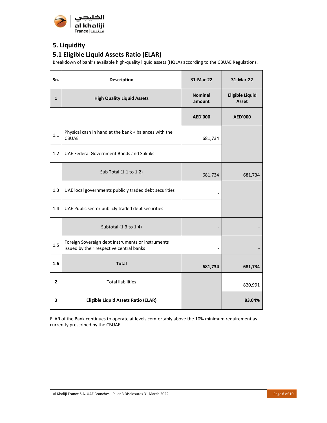

# **5. Liquidity**

# **5.1 Eligible Liquid Assets Ratio (ELAR)**

Breakdown of bank's available high‐quality liquid assets (HQLA) according to the CBUAE Regulations.

| Sn.            | <b>Description</b>                                                                            | 31-Mar-22                | 31-Mar-22                       |
|----------------|-----------------------------------------------------------------------------------------------|--------------------------|---------------------------------|
| $\mathbf{1}$   | <b>High Quality Liquid Assets</b>                                                             | <b>Nominal</b><br>amount | <b>Eligible Liquid</b><br>Asset |
|                |                                                                                               | <b>AED'000</b>           | <b>AED'000</b>                  |
| 1.1            | Physical cash in hand at the bank + balances with the<br><b>CBUAE</b>                         | 681,734                  |                                 |
| 1.2            | <b>UAE Federal Government Bonds and Sukuks</b>                                                |                          |                                 |
|                | Sub Total (1.1 to 1.2)                                                                        | 681,734                  | 681,734                         |
| 1.3            | UAE local governments publicly traded debt securities                                         |                          |                                 |
| 1.4            | UAE Public sector publicly traded debt securities                                             |                          |                                 |
|                | Subtotal (1.3 to 1.4)                                                                         |                          |                                 |
| 1.5            | Foreign Sovereign debt instruments or instruments<br>issued by their respective central banks | $\overline{\phantom{0}}$ |                                 |
| 1.6            | <b>Total</b>                                                                                  | 681,734                  | 681,734                         |
| $\overline{2}$ | <b>Total liabilities</b>                                                                      |                          | 820,991                         |
| 3              | <b>Eligible Liquid Assets Ratio (ELAR)</b>                                                    |                          | 83.04%                          |

ELAR of the Bank continues to operate at levels comfortably above the 10% minimum requirement as currently prescribed by the CBUAE.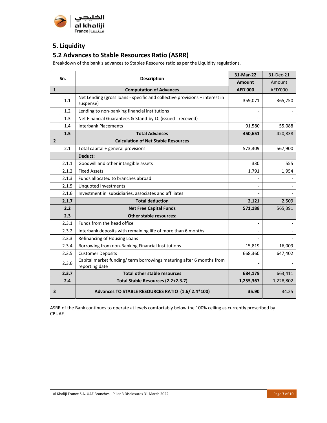

# **5. Liquidity**

## **5.2 Advances to Stable Resources Ratio (ASRR)**

Breakdown of the bank's advances to Stables Resource ratio as per the Liquidity regulations.

| Sn.            |                                 | <b>Description</b>                                                                       | 31-Mar-22      | 31-Dec-21 |
|----------------|---------------------------------|------------------------------------------------------------------------------------------|----------------|-----------|
|                |                                 |                                                                                          | <b>Amount</b>  | Amount    |
| $\mathbf{1}$   |                                 | <b>Computation of Advances</b>                                                           | <b>AED'000</b> | AED'000   |
|                | 1.1                             | Net Lending (gross loans - specific and collective provisions + interest in<br>suspense) | 359,071        | 365,750   |
|                | 1.2                             | Lending to non-banking financial institutions                                            |                |           |
|                | 1.3                             | Net Financial Guarantees & Stand-by LC (issued - received)                               |                |           |
|                | 1.4                             | <b>Interbank Placements</b>                                                              | 91,580         | 55,088    |
|                | 1.5                             | <b>Total Advances</b>                                                                    | 450,651        | 420,838   |
| $\overline{2}$ |                                 | <b>Calculation of Net Stable Resources</b>                                               |                |           |
|                | 2.1                             | Total capital + general provisions                                                       | 573,309        | 567,900   |
|                |                                 | Deduct:                                                                                  |                |           |
|                | 2.1.1                           | Goodwill and other intangible assets                                                     | 330            | 555       |
|                | 2.1.2                           | <b>Fixed Assets</b>                                                                      | 1,791          | 1,954     |
|                | 2.1.3                           | Funds allocated to branches abroad                                                       |                |           |
|                | 2.1.5                           | <b>Unquoted Investments</b>                                                              |                |           |
|                | 2.1.6                           | Investment in subsidiaries, associates and affiliates                                    |                |           |
|                | 2.1.7<br><b>Total deduction</b> |                                                                                          | 2,121          | 2,509     |
|                | 2.2                             | <b>Net Free Capital Funds</b>                                                            | 571,188        | 565,391   |
|                | 2.3                             | Other stable resources:                                                                  |                |           |
|                | 2.3.1                           | Funds from the head office                                                               |                |           |
|                | 2.3.2                           | Interbank deposits with remaining life of more than 6 months                             |                |           |
|                | 2.3.3                           | Refinancing of Housing Loans                                                             |                |           |
|                | 2.3.4                           | Borrowing from non-Banking Financial Institutions                                        | 15,819         | 16,009    |
|                | 2.3.5                           | <b>Customer Deposits</b>                                                                 | 668,360        | 647,402   |
|                | 2.3.6                           | Capital market funding/ term borrowings maturing after 6 months from<br>reporting date   |                |           |
|                | 2.3.7                           | <b>Total other stable resources</b>                                                      | 684,179        | 663,411   |
|                | 2.4                             | Total Stable Resources (2.2+2.3.7)                                                       | 1,255,367      | 1,228,802 |
| 3              |                                 | Advances TO STABLE RESOURCES RATIO (1.6/2.4*100)                                         | 35.90          | 34.25     |

ASRR of the Bank continues to operate at levels comfortably below the 100% ceiling as currently prescribed by CBUAE.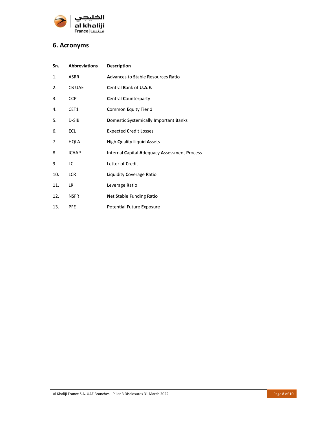

## **6. Acronyms**

| Sn. | <b>Abbreviations</b> | <b>Description</b>                                  |
|-----|----------------------|-----------------------------------------------------|
| 1.  | <b>ASRR</b>          | <b>Advances to Stable Resources Ratio</b>           |
| 2.  | <b>CB UAE</b>        | Central Bank of U.A.E.                              |
| 3.  | <b>CCP</b>           | <b>Central Counterparty</b>                         |
| 4.  | CET1                 | Common Equity Tier 1                                |
| 5.  | D-SIB                | Domestic Systemically Important Banks               |
| 6.  | <b>ECL</b>           | <b>Expected Credit Losses</b>                       |
| 7.  | HQLA                 | <b>High Quality Liquid Assets</b>                   |
| 8.  | <b>ICAAP</b>         | <b>Internal Capital Adequacy Assessment Process</b> |
| 9.  | LC                   | Letter of Credit                                    |
| 10. | <b>LCR</b>           | Liquidity Coverage Ratio                            |
| 11. | LR.                  | Leverage Ratio                                      |
| 12. | <b>NSFR</b>          | <b>Net Stable Funding Ratio</b>                     |
| 13. | <b>PFE</b>           | <b>Potential Future Exposure</b>                    |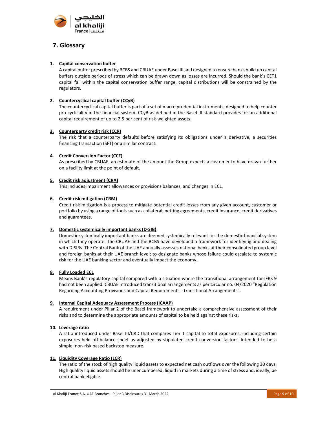

### **7. Glossary**

#### **1. Capital conservation buffer**

A capital buffer prescribed by BCBS and CBUAE under Basel III and designed to ensure banks build up capital buffers outside periods of stress which can be drawn down as losses are incurred. Should the bank's CET1 capital fall within the capital conservation buffer range, capital distributions will be constrained by the regulators.

#### **2. Countercyclical capital buffer (CCyB)**

The countercyclical capital buffer is part of a set of macro prudential instruments, designed to help counter pro‐cyclicality in the financial system. CCyB as defined in the Basel III standard provides for an additional capital requirement of up to 2.5 per cent of risk‐weighted assets.

#### **3. Counterparty credit risk (CCR)**

The risk that a counterparty defaults before satisfying its obligations under a derivative, a securities financing transaction (SFT) or a similar contract.

#### **4. Credit Conversion Factor (CCF)**

As prescribed by CBUAE, an estimate of the amount the Group expects a customer to have drawn further on a facility limit at the point of default.

#### **5. Credit risk adjustment (CRA)**

This includes impairment allowances or provisions balances, and changes in ECL.

#### **6. Credit risk mitigation (CRM)**

Credit risk mitigation is a process to mitigate potential credit losses from any given account, customer or portfolio by using a range of tools such as collateral, netting agreements, credit insurance, credit derivatives and guarantees.

#### **7. Domestic systemically important banks (D‐SIB)**

Domestic systemically important banks are deemed systemically relevant for the domestic financial system in which they operate. The CBUAE and the BCBS have developed a framework for identifying and dealing with D‐SIBs. The Central Bank of the UAE annually assesses national banks at their consolidated group level and foreign banks at their UAE branch level; to designate banks whose failure could escalate to systemic risk for the UAE banking sector and eventually impact the economy.

#### **8. Fully Loaded ECL**

Means Bank's regulatory capital compared with a situation where the transitional arrangement for IFRS 9 had not been applied. CBUAE introduced transitional arrangements as per circular no. 04/2020 "Regulation Regarding Accounting Provisions and Capital Requirements ‐ Transitional Arrangements".

#### **9. Internal Capital Adequacy Assessment Process (ICAAP)**

A requirement under Pillar 2 of the Basel framework to undertake a comprehensive assessment of their risks and to determine the appropriate amounts of capital to be held against these risks.

#### **10. Leverage ratio**

A ratio introduced under Basel III/CRD that compares Tier 1 capital to total exposures, including certain exposures held off-balance sheet as adjusted by stipulated credit conversion factors. Intended to be a simple, non-risk based backstop measure.

#### **11. Liquidity Coverage Ratio (LCR)**

The ratio of the stock of high quality liquid assets to expected net cash outflows over the following 30 days. High quality liquid assets should be unencumbered, liquid in markets during a time of stress and, ideally, be central bank eligible.